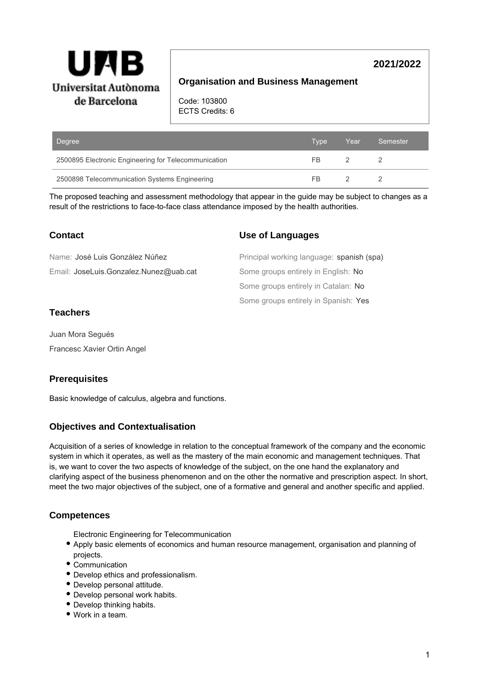

# **2021/2022**

# **Organisation and Business Management**

Code: 103800 ECTS Credits: 6

| Degree                                               | Type | Year | Semester |
|------------------------------------------------------|------|------|----------|
| 2500895 Electronic Engineering for Telecommunication | FR   |      |          |
| 2500898 Telecommunication Systems Engineering        | FB   |      |          |

The proposed teaching and assessment methodology that appear in the guide may be subject to changes as a result of the restrictions to face-to-face class attendance imposed by the health authorities.

# **Contact**

Email: JoseLuis.Gonzalez.Nunez@uab.cat Name: José Luis González Núñez

## **Use of Languages**

Some groups entirely in Spanish: Yes Some groups entirely in Catalan: No Some groups entirely in English: No Principal working language: spanish (spa)

# **Teachers**

Juan Mora Segués Francesc Xavier Ortin Angel

# **Prerequisites**

Basic knowledge of calculus, algebra and functions.

# **Objectives and Contextualisation**

Acquisition of a series of knowledge in relation to the conceptual framework of the company and the economic system in which it operates, as well as the mastery of the main economic and management techniques. That is, we want to cover the two aspects of knowledge of the subject, on the one hand the explanatory and clarifying aspect of the business phenomenon and on the other the normative and prescription aspect. In short, meet the two major objectives of the subject, one of a formative and general and another specific and applied.

### **Competences**

Electronic Engineering for Telecommunication

- Apply basic elements of economics and human resource management, organisation and planning of projects.
- Communication
- Develop ethics and professionalism.
- Develop personal attitude.
- Develop personal work habits.
- Develop thinking habits.
- Work in a team.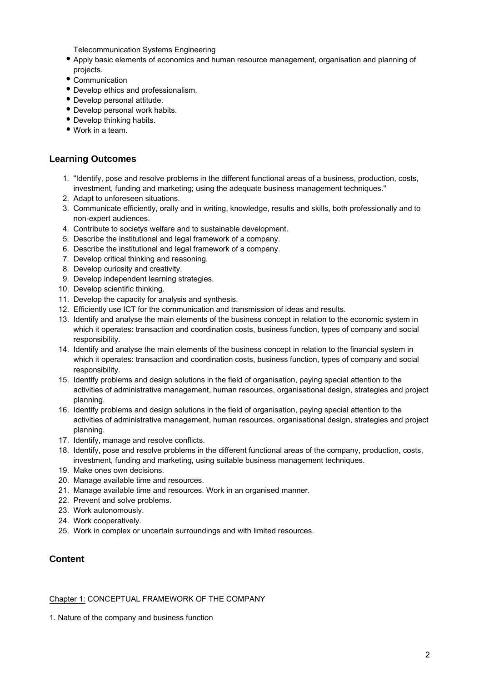Telecommunication Systems Engineering

- Apply basic elements of economics and human resource management, organisation and planning of projects.
- Communication
- Develop ethics and professionalism.
- Develop personal attitude.
- Develop personal work habits.
- Develop thinking habits.
- Work in a team.

### **Learning Outcomes**

- 1. "Identify, pose and resolve problems in the different functional areas of a business, production, costs, investment, funding and marketing; using the adequate business management techniques."
- 2. Adapt to unforeseen situations.
- 3. Communicate efficiently, orally and in writing, knowledge, results and skills, both professionally and to non-expert audiences.
- 4. Contribute to societys welfare and to sustainable development.
- 5. Describe the institutional and legal framework of a company.
- 6. Describe the institutional and legal framework of a company.
- 7. Develop critical thinking and reasoning.
- 8. Develop curiosity and creativity.
- 9. Develop independent learning strategies.
- 10. Develop scientific thinking.
- 11. Develop the capacity for analysis and synthesis.
- 12. Efficiently use ICT for the communication and transmission of ideas and results.
- 13. Identify and analyse the main elements of the business concept in relation to the economic system in which it operates: transaction and coordination costs, business function, types of company and social responsibility.
- 14. Identify and analyse the main elements of the business concept in relation to the financial system in which it operates: transaction and coordination costs, business function, types of company and social responsibility.
- 15. Identify problems and design solutions in the field of organisation, paying special attention to the activities of administrative management, human resources, organisational design, strategies and project planning.
- 16. Identify problems and design solutions in the field of organisation, paying special attention to the activities of administrative management, human resources, organisational design, strategies and project planning.
- 17. Identify, manage and resolve conflicts.
- 18. Identify, pose and resolve problems in the different functional areas of the company, production, costs, investment, funding and marketing, using suitable business management techniques.
- 19. Make ones own decisions.
- 20. Manage available time and resources.
- 21. Manage available time and resources. Work in an organised manner.
- 22. Prevent and solve problems.
- 23. Work autonomously.
- 24. Work cooperatively.
- 25. Work in complex or uncertain surroundings and with limited resources.

### **Content**

#### Chapter 1: CONCEPTUAL FRAMEWORK OF THE COMPANY

1. Nature of the company and business function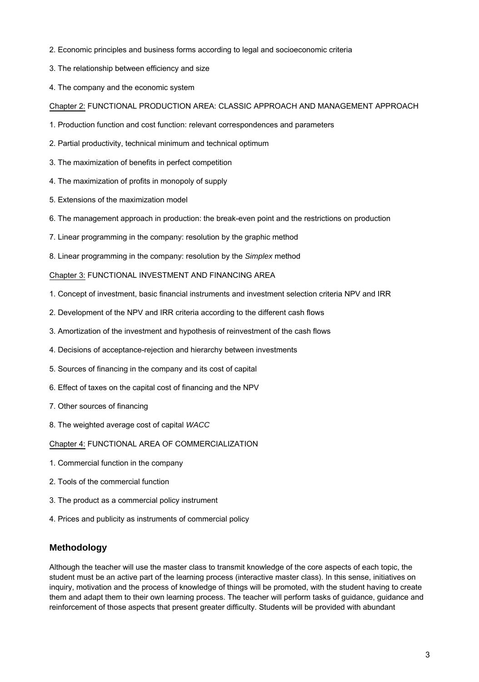- 2. Economic principles and business forms according to legal and socioeconomic criteria
- 3. The relationship between efficiency and size
- 4. The company and the economic system

### Chapter 2: FUNCTIONAL PRODUCTION AREA: CLASSIC APPROACH AND MANAGEMENT APPROACH

- 1. Production function and cost function: relevant correspondences and parameters
- 2. Partial productivity, technical minimum and technical optimum
- 3. The maximization of benefits in perfect competition
- 4. The maximization of profits in monopoly of supply
- 5. Extensions of the maximization model
- 6. The management approach in production: the break-even point and the restrictions on production
- 7. Linear programming in the company: resolution by the graphic method
- 8. Linear programming in the company: resolution by the Simplex method

#### Chapter 3: FUNCTIONAL INVESTMENT AND FINANCING AREA

- 1. Concept of investment, basic financial instruments and investment selection criteria NPV and IRR
- 2. Development of the NPV and IRR criteria according to the different cash flows
- 3. Amortization of the investment and hypothesis of reinvestment of the cash flows
- 4. Decisions of acceptance-rejection and hierarchy between investments
- 5. Sources of financing in the company and its cost of capital
- 6. Effect of taxes on the capital cost of financing and the NPV
- 7. Other sources of financing
- 8. The weighted average cost of capital WACC

Chapter 4: FUNCTIONAL AREA OF COMMERCIALIZATION

- 1. Commercial function in the company
- 2. Tools of the commercial function
- 3. The product as a commercial policy instrument
- 4. Prices and publicity as instruments of commercial policy

### **Methodology**

Although the teacher will use the master class to transmit knowledge of the core aspects of each topic, the student must be an active part of the learning process (interactive master class). In this sense, initiatives on inquiry, motivation and the process of knowledge of things will be promoted, with the student having to create them and adapt them to their own learning process. The teacher will perform tasks of guidance, guidance and reinforcement of those aspects that present greater difficulty. Students will be provided with abundant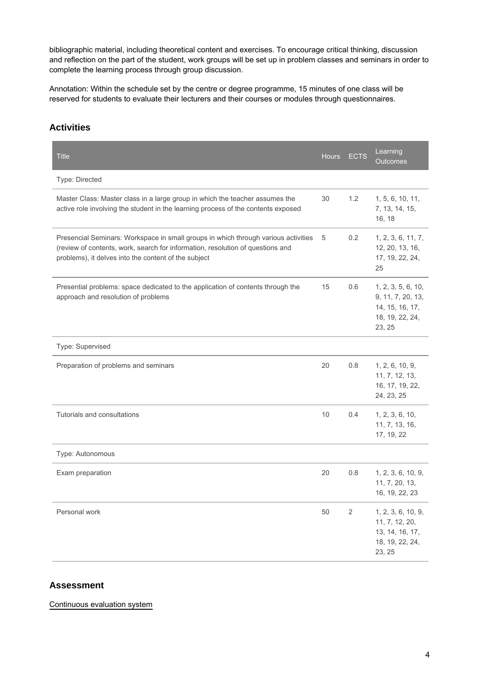bibliographic material, including theoretical content and exercises. To encourage critical thinking, discussion and reflection on the part of the student, work groups will be set up in problem classes and seminars in order to complete the learning process through group discussion.

Annotation: Within the schedule set by the centre or degree programme, 15 minutes of one class will be reserved for students to evaluate their lecturers and their courses or modules through questionnaires.

# **Activities**

| <b>Title</b>                                                                                                                                                                                                                 | <b>Hours</b> | <b>ECTS</b>    | Learning<br>Outcomes                                                                    |
|------------------------------------------------------------------------------------------------------------------------------------------------------------------------------------------------------------------------------|--------------|----------------|-----------------------------------------------------------------------------------------|
| Type: Directed                                                                                                                                                                                                               |              |                |                                                                                         |
| Master Class: Master class in a large group in which the teacher assumes the<br>active role involving the student in the learning process of the contents exposed                                                            | 30           | 1.2            | 1, 5, 6, 10, 11,<br>7, 13, 14, 15,<br>16, 18                                            |
| Presencial Seminars: Workspace in small groups in which through various activities<br>(review of contents, work, search for information, resolution of questions and<br>problems), it delves into the content of the subject | 5            | 0.2            | 1, 2, 3, 6, 11, 7,<br>12, 20, 13, 16,<br>17, 19, 22, 24,<br>25                          |
| Presential problems: space dedicated to the application of contents through the<br>approach and resolution of problems                                                                                                       | 15           | 0.6            | 1, 2, 3, 5, 6, 10,<br>9, 11, 7, 20, 13,<br>14, 15, 16, 17,<br>18, 19, 22, 24,<br>23, 25 |
| Type: Supervised                                                                                                                                                                                                             |              |                |                                                                                         |
| Preparation of problems and seminars                                                                                                                                                                                         | 20           | 0.8            | 1, 2, 6, 10, 9,<br>11, 7, 12, 13,<br>16, 17, 19, 22,<br>24, 23, 25                      |
| Tutorials and consultations                                                                                                                                                                                                  | 10           | 0.4            | 1, 2, 3, 6, 10,<br>11, 7, 13, 16,<br>17, 19, 22                                         |
| Type: Autonomous                                                                                                                                                                                                             |              |                |                                                                                         |
| Exam preparation                                                                                                                                                                                                             | 20           | 0.8            | 1, 2, 3, 6, 10, 9,<br>11, 7, 20, 13,<br>16, 19, 22, 23                                  |
| Personal work                                                                                                                                                                                                                | 50           | $\overline{2}$ | 1, 2, 3, 6, 10, 9,<br>11, 7, 12, 20,<br>13, 14, 16, 17,<br>18, 19, 22, 24,<br>23, 25    |

## **Assessment**

Continuous evaluation system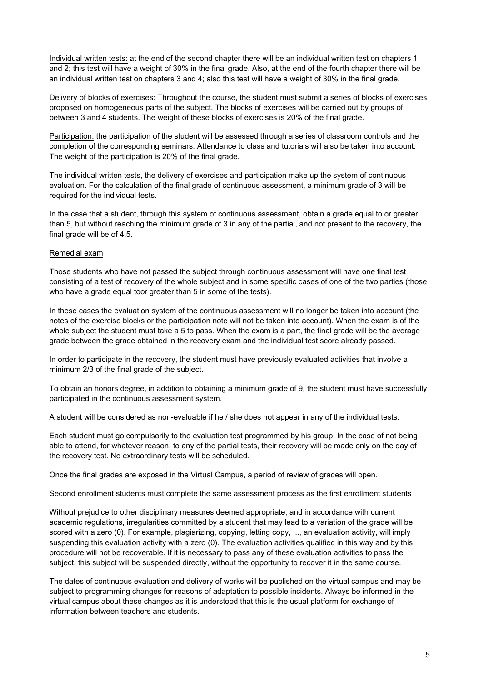Individual written tests: at the end of the second chapter there will be an individual written test on chapters 1 and 2; this test will have a weight of 30% in the final grade. Also, at the end of the fourth chapter there will be an individual written test on chapters 3 and 4; also this test will have a weight of 30% in the final grade.

Delivery of blocks of exercises: Throughout the course, the student must submit a series of blocks of exercises proposed on homogeneous parts of the subject. The blocks of exercises will be carried out by groups of between 3 and 4 students. The weight of these blocks of exercises is 20% of the final grade.

Participation: the participation of the student will be assessed through a series of classroom controls and the completion of the corresponding seminars. Attendance to class and tutorials will also be taken into account. The weight of the participation is 20% of the final grade.

The individual written tests, the delivery of exercises and participation make up the system of continuous evaluation. For the calculation of the final grade of continuous assessment, a minimum grade of 3 will be required for the individual tests.

In the case that a student, through this system of continuous assessment, obtain a grade equal to or greater than 5, but without reaching the minimum grade of 3 in any of the partial, and not present to the recovery, the final grade will be of 4,5.

#### Remedial exam

Those students who have not passed the subject through continuous assessment will have one final test consisting of a test of recovery of the whole subject and in some specific cases of one of the two parties (those who have a grade equal toor greater than 5 in some of the tests).

In these cases the evaluation system of the continuous assessment will no longer be taken into account (the notes of the exercise blocks or the participation note will not be taken into account). When the exam is of the whole subject the student must take a 5 to pass. When the exam is a part, the final grade will be the average grade between the grade obtained in the recovery exam and the individual test score already passed.

In order to participate in the recovery, the student must have previously evaluated activities that involve a minimum 2/3 of the final grade of the subject.

To obtain an honors degree, in addition to obtaining a minimum grade of 9, the student must have successfully participated in the continuous assessment system.

A student will be considered as non-evaluable if he / she does not appear in any of the individual tests.

Each student must go compulsorily to the evaluation test programmed by his group. In the case of not being able to attend, for whatever reason, to any of the partial tests, their recovery will be made only on the day of the recovery test. No extraordinary tests will be scheduled.

Once the final grades are exposed in the Virtual Campus, a period of review of grades will open.

Second enrollment students must complete the same assessment process as the first enrollment students

Without prejudice to other disciplinary measures deemed appropriate, and in accordance with current academic regulations, irregularities committed by a student that may lead to a variation of the grade will be scored with a zero (0). For example, plagiarizing, copying, letting copy, ..., an evaluation activity, will imply suspending this evaluation activity with a zero (0). The evaluation activities qualified in this way and by this procedure will not be recoverable. If it is necessary to pass any of these evaluation activities to pass the subject, this subject will be suspended directly, without the opportunity to recover it in the same course.

The dates of continuous evaluation and delivery of works will be published on the virtual campus and may be subject to programming changes for reasons of adaptation to possible incidents. Always be informed in the virtual campus about these changes as it is understood that this is the usual platform for exchange of information between teachers and students.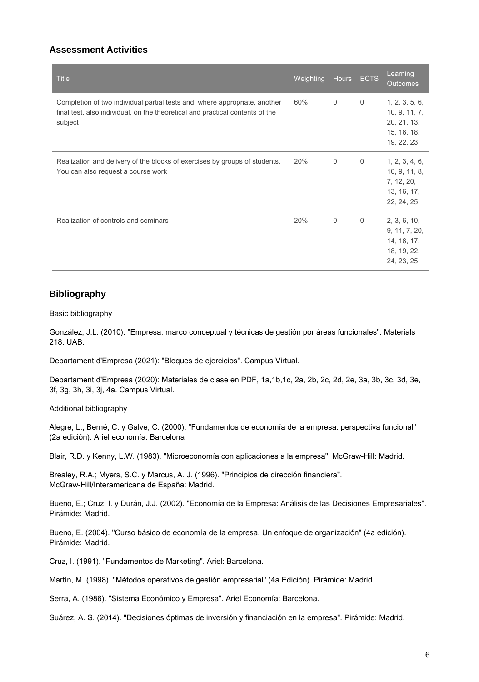## **Assessment Activities**

| <b>Title</b>                                                                                                                                                           | Weighting | <b>Hours</b> | <b>ECTS</b>  | Learning<br><b>Outcomes</b>                                                 |
|------------------------------------------------------------------------------------------------------------------------------------------------------------------------|-----------|--------------|--------------|-----------------------------------------------------------------------------|
| Completion of two individual partial tests and, where appropriate, another<br>final test, also individual, on the theoretical and practical contents of the<br>subject | 60%       | $\mathbf 0$  | $\mathbf{0}$ | 1, 2, 3, 5, 6,<br>10, 9, 11, 7,<br>20, 21, 13,<br>15, 16, 18,<br>19, 22, 23 |
| Realization and delivery of the blocks of exercises by groups of students.<br>You can also request a course work                                                       | 20%       | $\mathbf 0$  | $\mathbf{0}$ | 1, 2, 3, 4, 6,<br>10, 9, 11, 8,<br>7, 12, 20,<br>13, 16, 17,<br>22, 24, 25  |
| Realization of controls and seminars                                                                                                                                   | 20%       | $\mathbf 0$  | $\mathbf{0}$ | 2, 3, 6, 10,<br>9, 11, 7, 20,<br>14, 16, 17,<br>18, 19, 22,<br>24, 23, 25   |

### **Bibliography**

Basic bibliography

González, J.L. (2010). "Empresa: marco conceptual y técnicas de gestión por áreas funcionales". Materials 218. UAB.

Departament d'Empresa (2021): "Bloques de ejercicios". Campus Virtual.

Departament d'Empresa (2020): Materiales de clase en PDF, 1a,1b,1c, 2a, 2b, 2c, 2d, 2e, 3a, 3b, 3c, 3d, 3e, 3f, 3g, 3h, 3i, 3j, 4a. Campus Virtual.

Additional bibliography

Alegre, L.; Berné, C. y Galve, C. (2000). "Fundamentos de economía de la empresa: perspectiva funcional" (2a edición). Ariel economía. Barcelona

Blair, R.D. y Kenny, L.W. (1983). "Microeconomía con aplicaciones a la empresa". McGraw-Hill: Madrid.

Brealey, R.A.; Myers, S.C. y Marcus, A. J. (1996). "Principios de dirección financiera". McGraw-Hill/Interamericana de España: Madrid.

Bueno, E.; Cruz, I. y Durán, J.J. (2002). "Economía de la Empresa: Análisis de las Decisiones Empresariales". Pirámide: Madrid.

Bueno, E. (2004). "Curso básico de economía de la empresa. Un enfoque de organización" (4a edición). Pirámide: Madrid.

Cruz, I. (1991). "Fundamentos de Marketing". Ariel: Barcelona.

Martín, M. (1998). "Métodos operativos de gestión empresarial" (4a Edición). Pirámide: Madrid

Serra, A. (1986). "Sistema Económico y Empresa". Ariel Economía: Barcelona.

Suárez, A. S. (2014). "Decisiones óptimas de inversión y financiación en la empresa". Pirámide: Madrid.